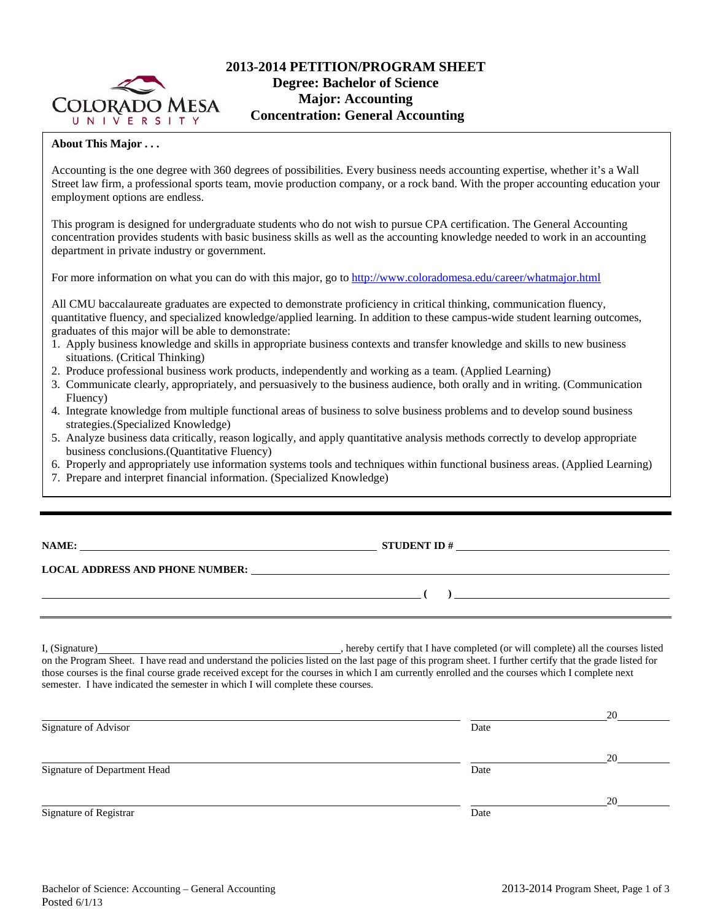

# **2013-2014 PETITION/PROGRAM SHEET Degree: Bachelor of Science Major: Accounting Concentration: General Accounting**

# **About This Major . . .**

Accounting is the one degree with 360 degrees of possibilities. Every business needs accounting expertise, whether it's a Wall Street law firm, a professional sports team, movie production company, or a rock band. With the proper accounting education your employment options are endless.

This program is designed for undergraduate students who do not wish to pursue CPA certification. The General Accounting concentration provides students with basic business skills as well as the accounting knowledge needed to work in an accounting department in private industry or government.

For more information on what you can do with this major, go to http://www.coloradomesa.edu/career/whatmajor.html

All CMU baccalaureate graduates are expected to demonstrate proficiency in critical thinking, communication fluency, quantitative fluency, and specialized knowledge/applied learning. In addition to these campus-wide student learning outcomes, graduates of this major will be able to demonstrate:

- 1. Apply business knowledge and skills in appropriate business contexts and transfer knowledge and skills to new business situations. (Critical Thinking)
- 2. Produce professional business work products, independently and working as a team. (Applied Learning)
- 3. Communicate clearly, appropriately, and persuasively to the business audience, both orally and in writing. (Communication Fluency)
- 4. Integrate knowledge from multiple functional areas of business to solve business problems and to develop sound business strategies.(Specialized Knowledge)
- 5. Analyze business data critically, reason logically, and apply quantitative analysis methods correctly to develop appropriate business conclusions.(Quantitative Fluency)
- 6. Properly and appropriately use information systems tools and techniques within functional business areas. (Applied Learning)
- 7. Prepare and interpret financial information. (Specialized Knowledge)

**NAME: STUDENT ID #**

## **LOCAL ADDRESS AND PHONE NUMBER:**

I, (Signature) **Solution** , hereby certify that I have completed (or will complete) all the courses listed on the Program Sheet. I have read and understand the policies listed on the last page of this program sheet. I further certify that the grade listed for those courses is the final course grade received except for the courses in which I am currently enrolled and the courses which I complete next semester. I have indicated the semester in which I will complete these courses.

|                              |      | 20 |
|------------------------------|------|----|
| Signature of Advisor         | Date |    |
|                              |      | 20 |
| Signature of Department Head | Date |    |
|                              |      | 20 |
| Signature of Registrar       | Date |    |

 **( )**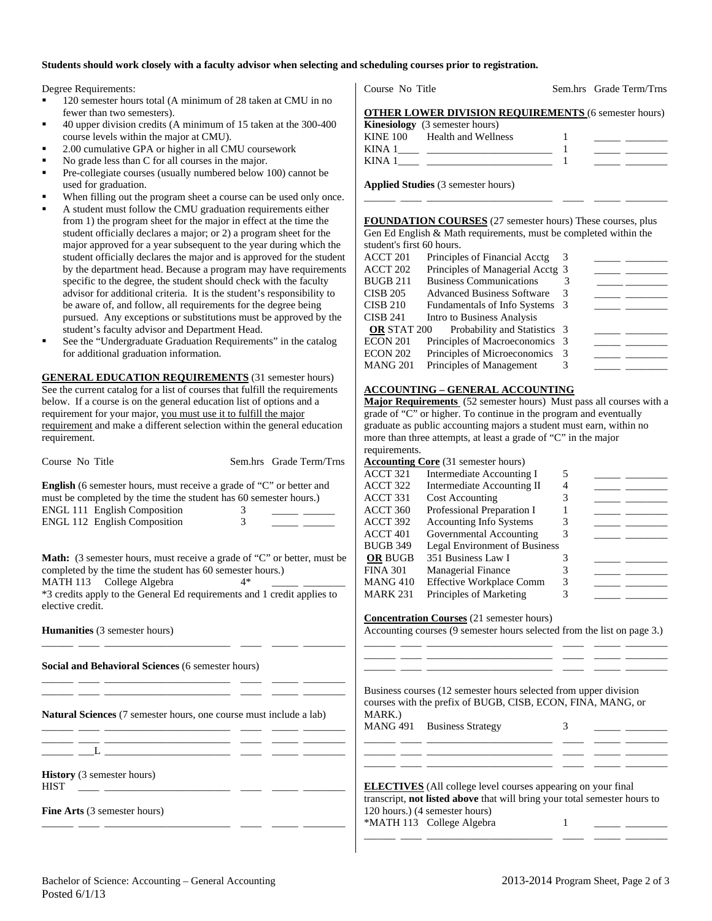#### **Students should work closely with a faculty advisor when selecting and scheduling courses prior to registration.**

Degree Requirements:

- 120 semester hours total (A minimum of 28 taken at CMU in no fewer than two semesters).
- 40 upper division credits (A minimum of 15 taken at the 300-400 course levels within the major at CMU).
- 2.00 cumulative GPA or higher in all CMU coursework
- No grade less than C for all courses in the major.
- Pre-collegiate courses (usually numbered below 100) cannot be used for graduation.
- When filling out the program sheet a course can be used only once.
- A student must follow the CMU graduation requirements either from 1) the program sheet for the major in effect at the time the student officially declares a major; or 2) a program sheet for the major approved for a year subsequent to the year during which the student officially declares the major and is approved for the student by the department head. Because a program may have requirements specific to the degree, the student should check with the faculty advisor for additional criteria. It is the student's responsibility to be aware of, and follow, all requirements for the degree being pursued. Any exceptions or substitutions must be approved by the student's faculty advisor and Department Head.
- See the "Undergraduate Graduation Requirements" in the catalog for additional graduation information.

**GENERAL EDUCATION REQUIREMENTS** (31 semester hours) See the current catalog for a list of courses that fulfill the requirements below. If a course is on the general education list of options and a requirement for your major, you must use it to fulfill the major requirement and make a different selection within the general education requirement.

Course No Title Sem.hrs Grade Term/Trns **English** (6 semester hours, must receive a grade of "C" or better and must be completed by the time the student has 60 semester hours.)

| <b>ENGL 111 English Composition</b> |  |
|-------------------------------------|--|
| <b>ENGL 112 English Composition</b> |  |

**Math:** (3 semester hours, must receive a grade of "C" or better, must be completed by the time the student has 60 semester hours.) MATH 113 College Algebra 4\* \*3 credits apply to the General Ed requirements and 1 credit applies to elective credit.

\_\_\_\_\_\_ \_\_\_\_ \_\_\_\_\_\_\_\_\_\_\_\_\_\_\_\_\_\_\_\_\_\_\_\_ \_\_\_\_ \_\_\_\_\_ \_\_\_\_\_\_\_\_

\_\_\_\_\_\_ \_\_\_\_ \_\_\_\_\_\_\_\_\_\_\_\_\_\_\_\_\_\_\_\_\_\_\_\_ \_\_\_\_ \_\_\_\_\_ \_\_\_\_\_\_\_\_ \_\_\_\_\_\_ \_\_\_\_ \_\_\_\_\_\_\_\_\_\_\_\_\_\_\_\_\_\_\_\_\_\_\_\_ \_\_\_\_ \_\_\_\_\_ \_\_\_\_\_\_\_\_

\_\_\_\_\_\_ \_\_\_\_ \_\_\_\_\_\_\_\_\_\_\_\_\_\_\_\_\_\_\_\_\_\_\_\_ \_\_\_\_ \_\_\_\_\_ \_\_\_\_\_\_\_\_

\_\_\_\_\_\_ \_\_\_\_ \_\_\_\_\_\_\_\_\_\_\_\_\_\_\_\_\_\_\_\_\_\_\_\_ \_\_\_\_ \_\_\_\_\_ \_\_\_\_\_\_\_\_

**Humanities** (3 semester hours)

**Social and Behavioral Sciences** (6 semester hours)

**Natural Sciences** (7 semester hours, one course must include a lab)

\_\_\_\_\_\_ \_\_\_\_ \_\_\_\_\_\_\_\_\_\_\_\_\_\_\_\_\_\_\_\_\_\_\_\_ \_\_\_\_ \_\_\_\_\_ \_\_\_\_\_\_\_\_  $\_\_\_$   $\_\_\_$ 

**History** (3 semester hours)

 $HIST \quad \_\_\_\_\_\_\_$ 

**Fine Arts** (3 semester hours)

Course No Title Sem.hrs Grade Term/Trns

|  |  |  |  |  | <b>OTHER LOWER DIVISION REQUIREMENTS (6 semester hours)</b> |  |
|--|--|--|--|--|-------------------------------------------------------------|--|
|  |  |  |  |  |                                                             |  |

|      | <b>Kinesiology</b> (3 semester hours) |  |
|------|---------------------------------------|--|
|      | KINE 100 Health and Wellness          |  |
| KINA |                                       |  |
| KINA |                                       |  |

\_\_\_\_\_\_ \_\_\_\_ \_\_\_\_\_\_\_\_\_\_\_\_\_\_\_\_\_\_\_\_\_\_\_\_ \_\_\_\_ \_\_\_\_\_ \_\_\_\_\_\_\_\_

**Applied Studies** (3 semester hours)

**FOUNDATION COURSES** (27 semester hours) These courses, plus Gen Ed English & Math requirements, must be completed within the student's first 60 hours.

| ACCT 201           | Principles of Financial Acctg     |  |  |
|--------------------|-----------------------------------|--|--|
| ACCT 202           | Principles of Managerial Acctg 3  |  |  |
| BUGB 211           | <b>Business Communications</b>    |  |  |
| CISB 205           | <b>Advanced Business Software</b> |  |  |
| CISB 210           | Fundamentals of Info Systems 3    |  |  |
| CISB 241           | Intro to Business Analysis        |  |  |
| <b>OR STAT 200</b> | Probability and Statistics 3      |  |  |
| ECON 201           | Principles of Macroeconomics 3    |  |  |
| ECON 202           | Principles of Microeconomics 3    |  |  |
| MANG 201           | Principles of Management          |  |  |
|                    |                                   |  |  |

# **ACCOUNTING – GENERAL ACCOUNTING**

**Major Requirements** (52 semester hours) Must pass all courses with a grade of "C" or higher. To continue in the program and eventually graduate as public accounting majors a student must earn, within no more than three attempts, at least a grade of "C" in the major requirements.

|                 | <b>Accounting Core</b> (31 semester hours) |   |  |
|-----------------|--------------------------------------------|---|--|
| ACCT 321        | Intermediate Accounting I                  | 5 |  |
| ACCT 322        | Intermediate Accounting II                 | 4 |  |
| ACCT 331        | <b>Cost Accounting</b>                     |   |  |
| ACCT 360        | Professional Preparation I                 |   |  |
| ACCT 392        | Accounting Info Systems                    |   |  |
| ACCT 401        | Governmental Accounting                    |   |  |
| <b>BUGB 349</b> | <b>Legal Environment of Business</b>       |   |  |
| <b>OR BUGB</b>  | 351 Business Law I                         |   |  |
| <b>FINA 301</b> | <b>Managerial Finance</b>                  |   |  |
| <b>MANG 410</b> | <b>Effective Workplace Comm</b>            |   |  |
| <b>MARK 231</b> | Principles of Marketing                    |   |  |
|                 |                                            |   |  |

**Concentration Courses** (21 semester hours)

Accounting courses (9 semester hours selected from the list on page 3.) \_\_\_\_\_\_ \_\_\_\_ \_\_\_\_\_\_\_\_\_\_\_\_\_\_\_\_\_\_\_\_\_\_\_\_ \_\_\_\_ \_\_\_\_\_ \_\_\_\_\_\_\_\_

\_\_\_\_\_\_ \_\_\_\_ \_\_\_\_\_\_\_\_\_\_\_\_\_\_\_\_\_\_\_\_\_\_\_\_ \_\_\_\_ \_\_\_\_\_ \_\_\_\_\_\_\_\_ \_\_\_\_\_\_ \_\_\_\_ \_\_\_\_\_\_\_\_\_\_\_\_\_\_\_\_\_\_\_\_\_\_\_\_ \_\_\_\_ \_\_\_\_\_ \_\_\_\_\_\_\_\_

\_\_\_\_\_\_ \_\_\_\_ \_\_\_\_\_\_\_\_\_\_\_\_\_\_\_\_\_\_\_\_\_\_\_\_ \_\_\_\_ \_\_\_\_\_ \_\_\_\_\_\_\_\_ \_\_\_\_\_\_ \_\_\_\_ \_\_\_\_\_\_\_\_\_\_\_\_\_\_\_\_\_\_\_\_\_\_\_\_ \_\_\_\_ \_\_\_\_\_ \_\_\_\_\_\_\_\_ \_\_\_\_\_\_ \_\_\_\_ \_\_\_\_\_\_\_\_\_\_\_\_\_\_\_\_\_\_\_\_\_\_\_\_ \_\_\_\_ \_\_\_\_\_ \_\_\_\_\_\_\_\_

| Business courses (12 semester hours selected from upper division |
|------------------------------------------------------------------|
| courses with the prefix of BUGB, CISB, ECON, FINA, MANG, or      |
| MARK.)                                                           |

MANG 491 Business Strategy 3

| <b>ELECTIVES</b> (All college level courses appearing on your final              |  |
|----------------------------------------------------------------------------------|--|
| transcript, <b>not listed above</b> that will bring your total semester hours to |  |
| 120 hours.) (4 semester hours)                                                   |  |
| *MATH 113 College Algebra                                                        |  |
|                                                                                  |  |